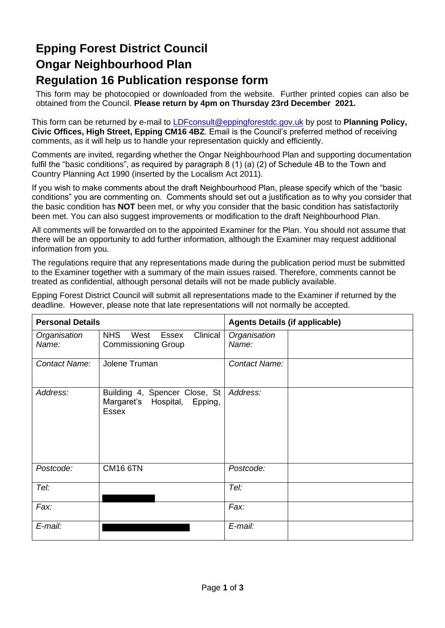# **Epping Forest District Council Ongar Neighbourhood Plan Regulation 16 Publication response form**

This form may be photocopied or downloaded from the website. Further printed copies can also be obtained from the Council. **Please return by 4pm on Thursday 23rd December 2021.**

This form can be returned by e-mail to [LDFconsult@eppingforestdc.gov.uk](mailto:LDFconsult@eppingforestdc.gov.uk) by post to **Planning Policy, Civic Offices, High Street, Epping CM16 4BZ**. Email is the Council's preferred method of receiving comments, as it will help us to handle your representation quickly and efficiently.

Comments are invited, regarding whether the Ongar Neighbourhood Plan and supporting documentation fulfil the "basic conditions", as required by paragraph 8 (1) (a) (2) of Schedule 4B to the Town and Country Planning Act 1990 (inserted by the Localism Act 2011).

If you wish to make comments about the draft Neighbourhood Plan, please specify which of the "basic conditions" you are commenting on. Comments should set out a justification as to why you consider that the basic condition has **NOT** been met, or why you consider that the basic condition has satisfactorily been met. You can also suggest improvements or modification to the draft Neighbourhood Plan.

All comments will be forwarded on to the appointed Examiner for the Plan. You should not assume that there will be an opportunity to add further information, although the Examiner may request additional information from you.

The regulations require that any representations made during the publication period must be submitted to the Examiner together with a summary of the main issues raised. Therefore, comments cannot be treated as confidential, although personal details will not be made publicly available.

Epping Forest District Council will submit all representations made to the Examiner if returned by the deadline. However, please note that late representations will not normally be accepted.

| <b>Personal Details</b> |                                                                                 | <b>Agents Details (if applicable)</b> |  |  |  |
|-------------------------|---------------------------------------------------------------------------------|---------------------------------------|--|--|--|
| Organisation<br>Name:   | <b>NHS</b><br>Clinical<br>West<br>Essex<br><b>Commissioning Group</b>           | Organisation<br>Name:                 |  |  |  |
| Contact Name:           | Jolene Truman                                                                   | Contact Name:                         |  |  |  |
| Address:                | Building 4, Spencer Close, St  <br>Margaret's Hospital, Epping,<br><b>Essex</b> | Address:                              |  |  |  |
| Postcode:               | <b>CM16 6TN</b>                                                                 | Postcode:                             |  |  |  |
| Tel:                    |                                                                                 | Tel:                                  |  |  |  |
| Fax:                    |                                                                                 | Fax:                                  |  |  |  |
| E-mail:                 |                                                                                 | E-mail:                               |  |  |  |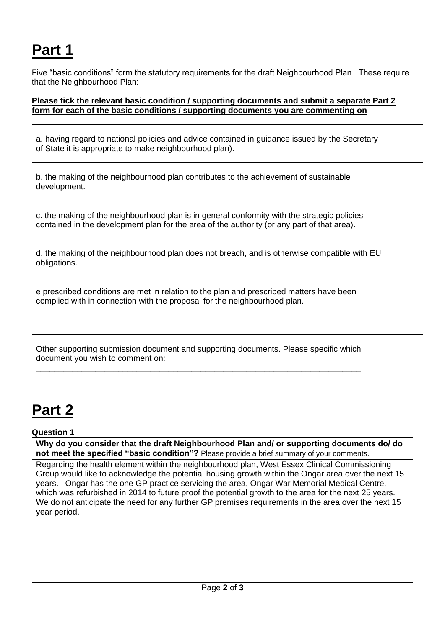# **Part 1**

Five "basic conditions" form the statutory requirements for the draft Neighbourhood Plan. These require that the Neighbourhood Plan:

### **Please tick the relevant basic condition / supporting documents and submit a separate Part 2 form for each of the basic conditions / supporting documents you are commenting on**

a. having regard to national policies and advice contained in guidance issued by the Secretary of State it is appropriate to make neighbourhood plan).

b. the making of the neighbourhood plan contributes to the achievement of sustainable development.

c. the making of the neighbourhood plan is in general conformity with the strategic policies contained in the development plan for the area of the authority (or any part of that area).

|              | d. the making of the neighbourhood plan does not breach, and is otherwise compatible with EU |  |  |  |
|--------------|----------------------------------------------------------------------------------------------|--|--|--|
| obligations. |                                                                                              |  |  |  |

e prescribed conditions are met in relation to the plan and prescribed matters have been complied with in connection with the proposal for the neighbourhood plan.

Other supporting submission document and supporting documents. Please specific which document you wish to comment on: \_\_\_\_\_\_\_\_\_\_\_\_\_\_\_\_\_\_\_\_\_\_\_\_\_\_\_\_\_\_\_\_\_\_\_\_\_\_\_\_\_\_\_\_\_\_\_\_\_\_\_\_\_\_\_\_\_\_\_\_\_\_\_\_\_\_\_\_\_\_\_

# **Part 2**

#### **Question 1**

**Why do you consider that the draft Neighbourhood Plan and/ or supporting documents do/ do not meet the specified "basic condition"?** Please provide a brief summary of your comments.

Regarding the health element within the neighbourhood plan, West Essex Clinical Commissioning Group would like to acknowledge the potential housing growth within the Ongar area over the next 15 years. Ongar has the one GP practice servicing the area, Ongar War Memorial Medical Centre, which was refurbished in 2014 to future proof the potential growth to the area for the next 25 years. We do not anticipate the need for any further GP premises requirements in the area over the next 15 year period.